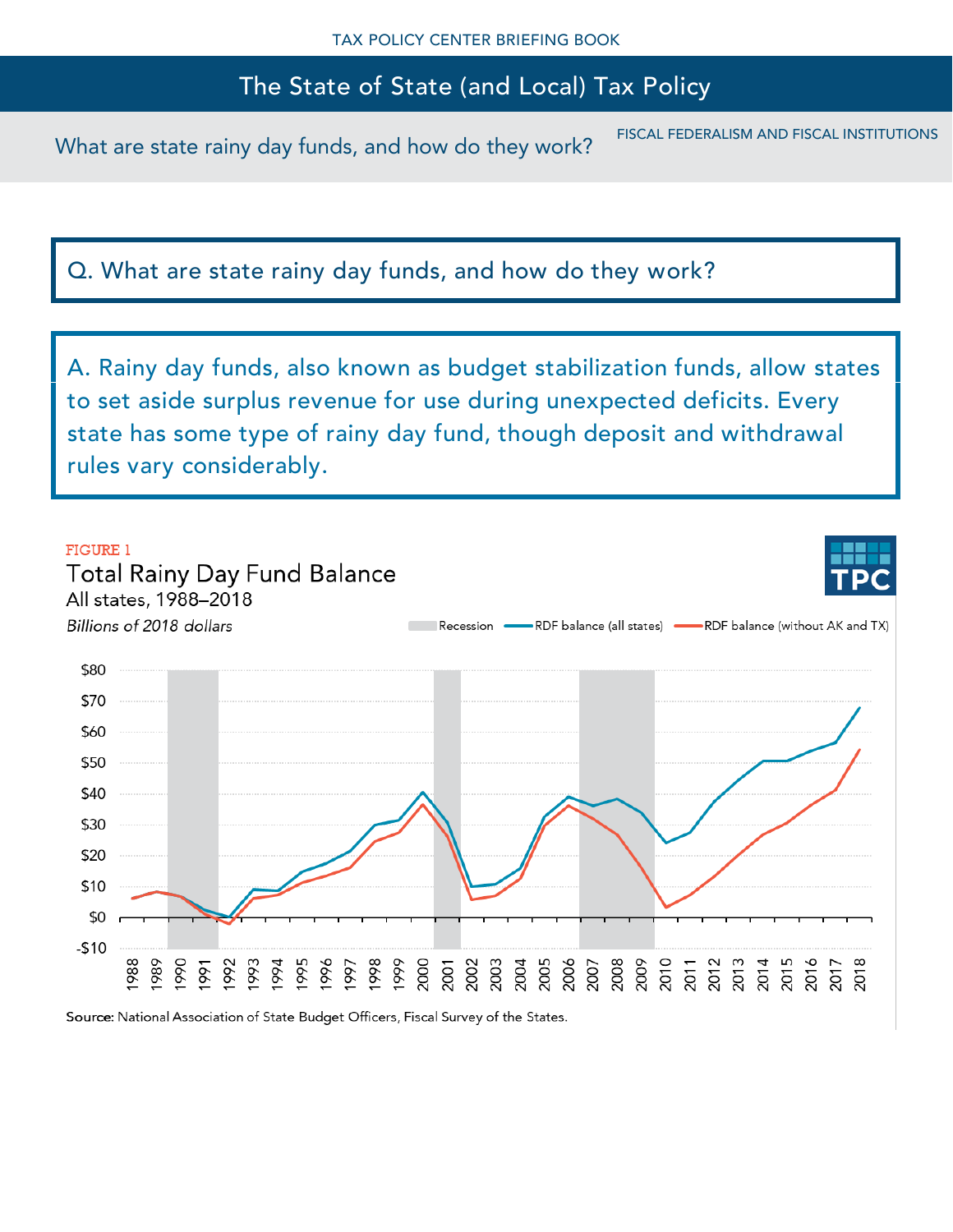What are state rainy day funds, and how do they work? FISCAL FEDERALISM AND FISCAL INSTITUTIONS

Q. What are state rainy day funds, and how do they work?

A. Rainy day funds, also known as budget stabilization funds, allow states to set aside surplus revenue for use during unexpected deficits. Every state has some type of rainy day fund, though deposit and withdrawal rules vary considerably.



Source: National Association of State Budget Officers, Fiscal Survey of the States.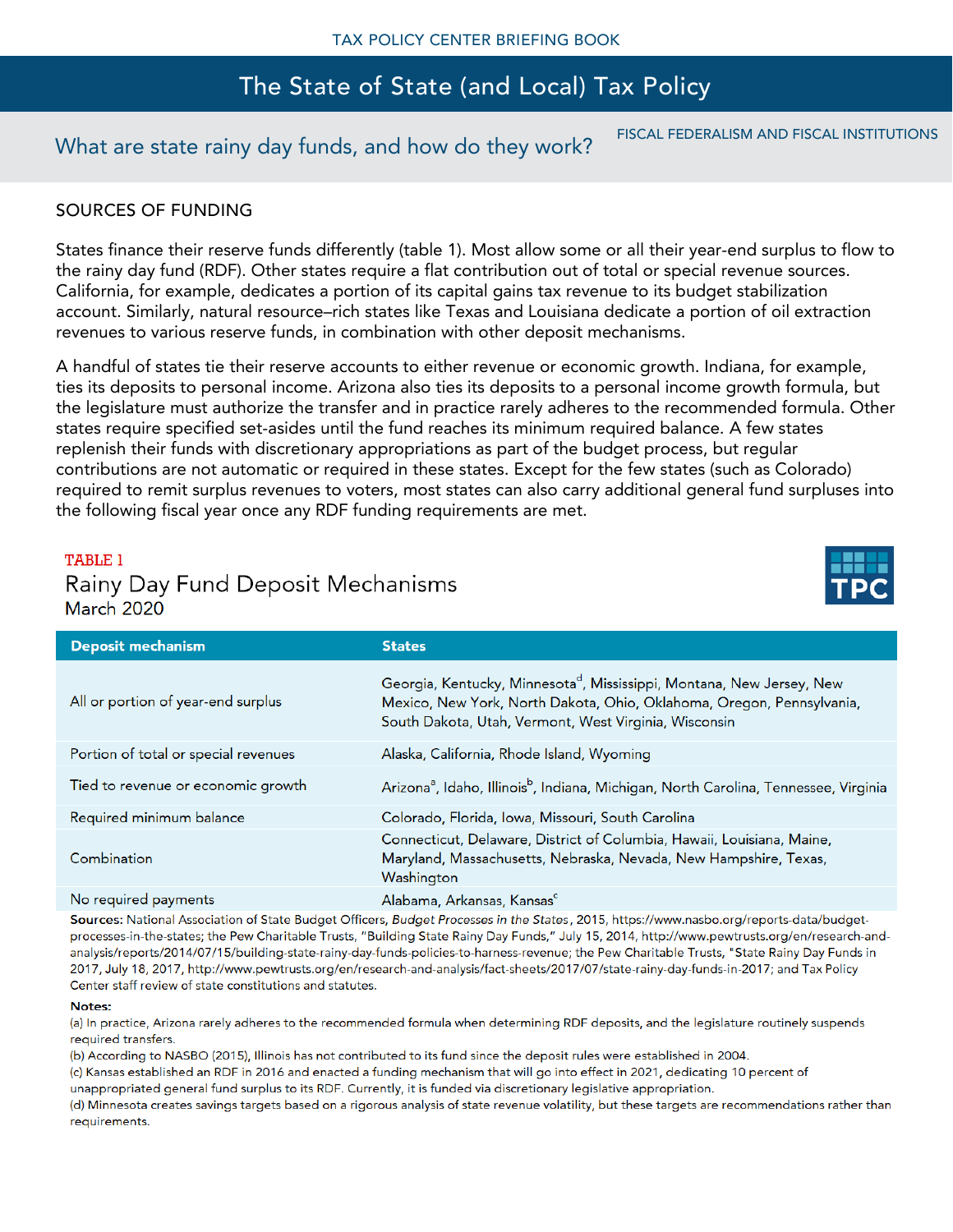# What are state rainy day funds, and how do they work? FISCAL FEDERALISM AND FISCAL INSTITUTIONS

### SOURCES OF FUNDING

States finance their reserve funds differently (table 1). Most allow some or all their year-end surplus to flow to the rainy day fund (RDF). Other states require a flat contribution out of total or special revenue sources. California, for example, dedicates a portion of its capital gains tax revenue to its budget stabilization account. Similarly, natural resource–rich states like Texas and Louisiana dedicate a portion of oil extraction revenues to various reserve funds, in combination with other deposit mechanisms.

A handful of states tie their reserve accounts to either revenue or economic growth. Indiana, for example, ties its deposits to personal income. Arizona also ties its deposits to a personal income growth formula, but the legislature must authorize the transfer and in practice rarely adheres to the recommended formula. Other states require specified set-asides until the fund reaches its minimum required balance. A few states replenish their funds with discretionary appropriations as part of the budget process, but regular contributions are not automatic or required in these states. Except for the few states (such as Colorado) required to remit surplus revenues to voters, most states can also carry additional general fund surpluses into the following fiscal year once any RDF funding requirements are met.

#### **TABLE 1**

# Rainy Day Fund Deposit Mechanisms

| <b>March 2020</b>                    |                                                                                                                                                                                                                     |
|--------------------------------------|---------------------------------------------------------------------------------------------------------------------------------------------------------------------------------------------------------------------|
| <b>Deposit mechanism</b>             | <b>States</b>                                                                                                                                                                                                       |
| All or portion of year-end surplus   | Georgia, Kentucky, Minnesota <sup>d</sup> , Mississippi, Montana, New Jersey, New<br>Mexico, New York, North Dakota, Ohio, Oklahoma, Oregon, Pennsylvania,<br>South Dakota, Utah, Vermont, West Virginia, Wisconsin |
| Portion of total or special revenues | Alaska, California, Rhode Island, Wyoming                                                                                                                                                                           |
| Tied to revenue or economic growth   | Arizona <sup>a</sup> , Idaho, Illinois <sup>b</sup> , Indiana, Michigan, North Carolina, Tennessee, Virginia                                                                                                        |
| Required minimum balance             | Colorado, Florida, Iowa, Missouri, South Carolina                                                                                                                                                                   |
| Combination                          | Connecticut, Delaware, District of Columbia, Hawaii, Louisiana, Maine,<br>Maryland, Massachusetts, Nebraska, Nevada, New Hampshire, Texas,<br>Washington                                                            |
| No required payments                 | Alabama, Arkansas, Kansas <sup>c</sup>                                                                                                                                                                              |

Sources: National Association of State Budget Officers, Budget Processes in the States, 2015, https://www.nasbo.org/reports-data/budgetprocesses-in-the-states; the Pew Charitable Trusts, "Building State Rainy Day Funds," July 15, 2014, http://www.pewtrusts.org/en/research-andanalysis/reports/2014/07/15/building-state-rainy-day-funds-policies-to-harness-revenue; the Pew Charitable Trusts, "State Rainy Day Funds in 2017, July 18, 2017, http://www.pewtrusts.org/en/research-and-analysis/fact-sheets/2017/07/state-rainy-day-funds-in-2017; and Tax Policy Center staff review of state constitutions and statutes.

#### Notes:

(a) In practice, Arizona rarely adheres to the recommended formula when determining RDF deposits, and the legislature routinely suspends required transfers.

(b) According to NASBO (2015), Illinois has not contributed to its fund since the deposit rules were established in 2004.

(c) Kansas established an RDF in 2016 and enacted a funding mechanism that will go into effect in 2021, dedicating 10 percent of unappropriated general fund surplus to its RDF. Currently, it is funded via discretionary legislative appropriation.

(d) Minnesota creates savings targets based on a rigorous analysis of state revenue volatility, but these targets are recommendations rather than requirements.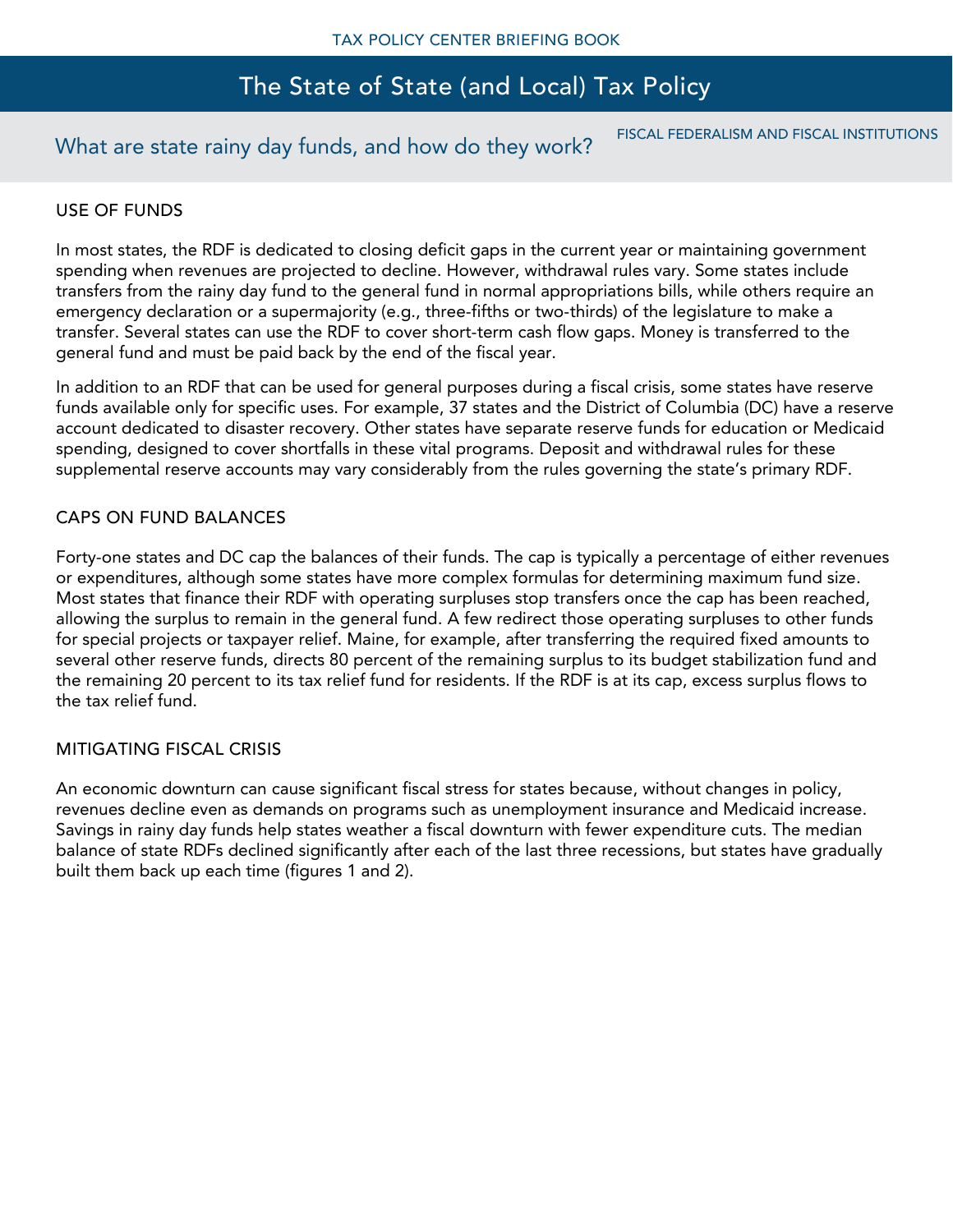## What are state rainy day funds, and how do they work? FISCAL FEDERALISM AND FISCAL INSTITUTIONS

### USE OF FUNDS

In most states, the RDF is dedicated to closing deficit gaps in the current year or maintaining government spending when revenues are projected to decline. However, withdrawal rules vary. Some states include transfers from the rainy day fund to the general fund in normal appropriations bills, while others require an emergency declaration or a supermajority (e.g., three-fifths or two-thirds) of the legislature to make a transfer. Several states can use the RDF to cover short-term cash flow gaps. Money is transferred to the general fund and must be paid back by the end of the fiscal year.

In addition to an RDF that can be used for general purposes during a fiscal crisis, some states have reserve funds available only for specific uses. For example, 37 states and the District of Columbia (DC) have a reserve account dedicated to disaster recovery. Other states have separate reserve funds for education or Medicaid spending, designed to cover shortfalls in these vital programs. Deposit and withdrawal rules for these supplemental reserve accounts may vary considerably from the rules governing the state's primary RDF.

### CAPS ON FUND BALANCES

Forty-one states and DC cap the balances of their funds. The cap is typically a percentage of either revenues or expenditures, although some states have more complex formulas for determining maximum fund size. Most states that finance their RDF with operating surpluses stop transfers once the cap has been reached, allowing the surplus to remain in the general fund. A few redirect those operating surpluses to other funds for special projects or taxpayer relief. Maine, for example, after transferring the required fixed amounts to several other reserve funds, directs 80 percent of the remaining surplus to its budget stabilization fund and the remaining 20 percent to its tax relief fund for residents. If the RDF is at its cap, excess surplus flows to the tax relief fund.

### MITIGATING FISCAL CRISIS

An economic downturn can cause significant fiscal stress for states because, without changes in policy, revenues decline even as demands on programs such as unemployment insurance and Medicaid increase. Savings in rainy day funds help states weather a fiscal downturn with fewer expenditure cuts. The median balance of state RDFs declined significantly after each of the last three recessions, but states have gradually built them back up each time (figures 1 and 2).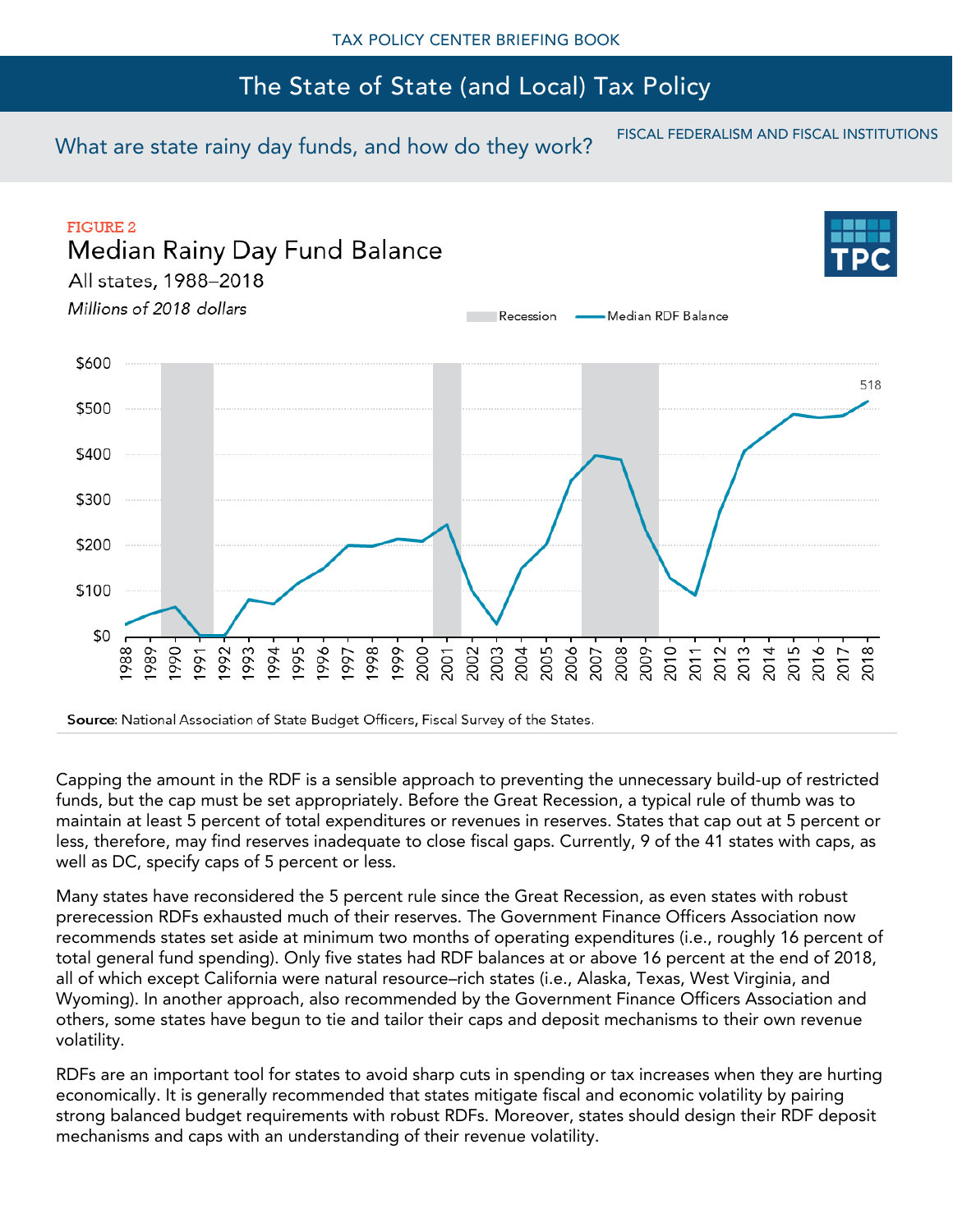What are state rainy day funds, and how do they work? FISCAL FEDERALISM AND FISCAL INSTITUTIONS



Source: National Association of State Budget Officers, Fiscal Survey of the States.

Capping the amount in the RDF is a sensible approach to preventing the unnecessary build-up of restricted funds, but the cap must be set appropriately. Before the Great Recession, a typical rule of thumb was to maintain at least 5 percent of total expenditures or revenues in reserves. States that cap out at 5 percent or less, therefore, may find reserves inadequate to close fiscal gaps. Currently, 9 of the 41 states with caps, as well as DC, specify caps of 5 percent or less.

Many states have reconsidered the 5 percent rule since the Great Recession, as even states with robust prerecession RDFs exhausted much of their reserves. The Government Finance Officers Association now recommends states set aside at minimum two months of operating expenditures (i.e., roughly 16 percent of total general fund spending). Only five states had RDF balances at or above 16 percent at the end of 2018, all of which except California were natural resource–rich states (i.e., Alaska, Texas, West Virginia, and Wyoming). In another approach, also recommended by the Government Finance Officers Association and others, some states have begun to tie and tailor their caps and deposit mechanisms to their own revenue volatility.

RDFs are an important tool for states to avoid sharp cuts in spending or tax increases when they are hurting economically. It is generally recommended that states mitigate fiscal and economic volatility by pairing strong balanced budget requirements with robust RDFs. Moreover, states should design their RDF deposit mechanisms and caps with an understanding of their revenue volatility.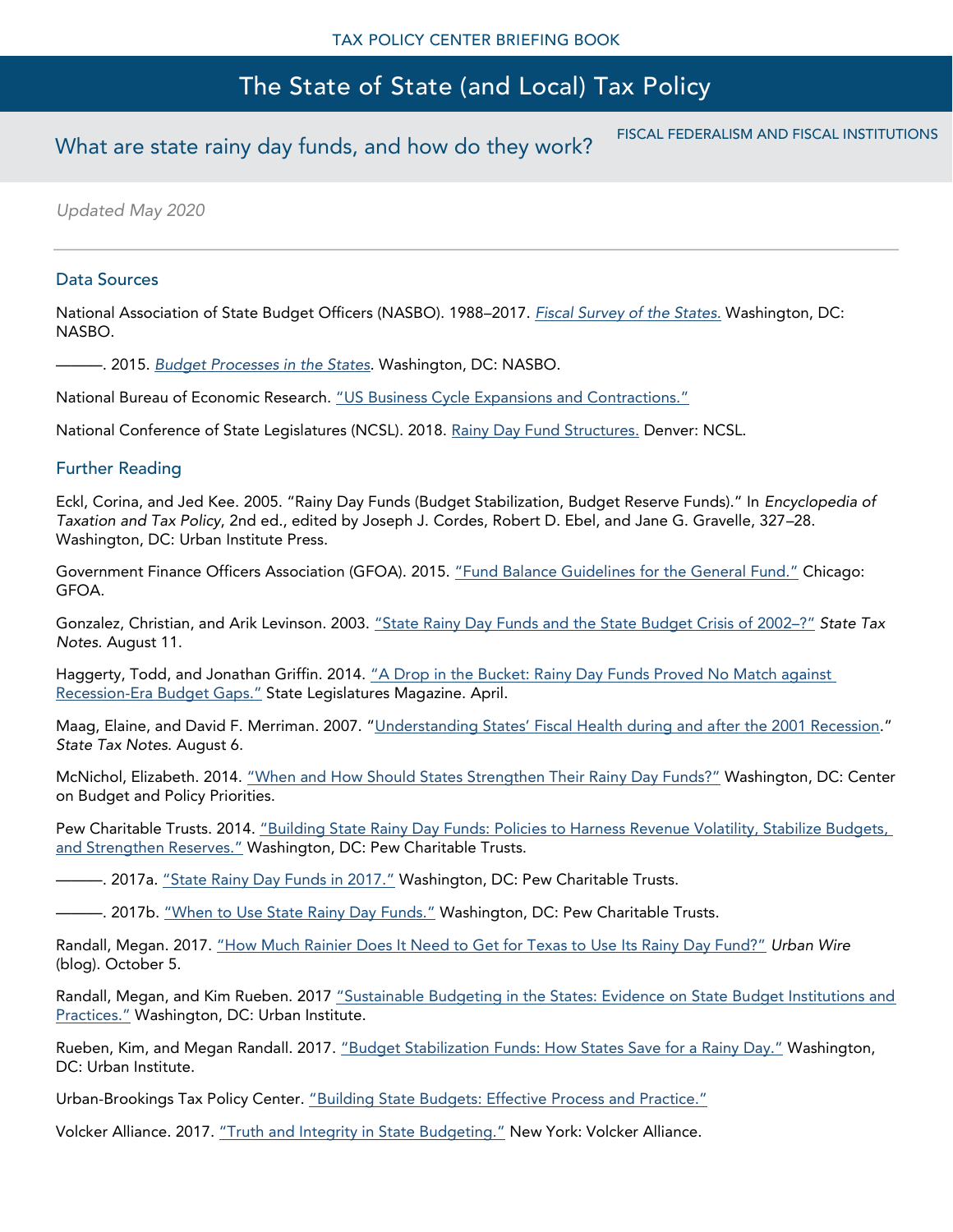# What are state rainy day funds, and how do they work? FISCAL FEDERALISM AND FISCAL INSTITUTIONS

*Updated May 2020*

#### Data Sources

National Association of State Budget Officers (NASBO). 1988–2017. *[Fiscal Survey of the States.](https://www.nasbo.org/mainsite/reports-data/fiscal-survey-of-states/fiscal-survey-archives)* Washington, DC: NASBO.

———. 2015. *[Budget Processes in the States](http://www.nasbo.org/publications-data/budget-processes-in-the-states)*. Washington, DC: NASBO.

National Bureau of Economic Research. ["US Business Cycle Expansions and Contractions."](http://www.nber.org/cycles.html)

National Conference of State Legislatures (NCSL). 2018. [Rainy Day Fund Structures.](https://www.ncsl.org/research/fiscal-policy/rainy-day-funds.aspx) Denver: NCSL.

#### Further Reading

Eckl, Corina, and Jed Kee. 2005. "Rainy Day Funds (Budget Stabilization, Budget Reserve Funds)." In *Encyclopedia of Taxation and Tax Policy*, 2nd ed., edited by Joseph J. Cordes, Robert D. Ebel, and Jane G. Gravelle, 327–28. Washington, DC: Urban Institute Press.

Government Finance Officers Association (GFOA). 2015. ["Fund Balance Guidelines for the General Fund."](http://www.gfoa.org/appropriate-level-unrestricted-fund-balance-general-fund) Chicago: GFOA.

Gonzalez, Christian, and Arik Levinson. 2003. ["State Rainy Day Funds and the State Budget Crisis o](http://webarchive.urban.org/publications/1000609.html)f 2002–?" *State Tax Notes*. August 11.

Haggerty, Todd, and Jonathan Griffin. 2014. "A Drop in the Bucket: Rainy Day Funds Proved No Match against [Recession-Era Budget Gaps.](http://www.ncsl.org/research/fiscal-policy/a-drop-in-the-bucket.aspx)" State Legislatures Magazine. April.

Maag, Elaine, and David F. Merriman. 2007. ["Understanding States' Fiscal Health during and a](https://www.urban.org/research/publication/understanding-states-fiscal-health-during-and-after-2001-recession)fter the 2001 Recession." *State Tax Notes*. August 6.

McNichol, Elizabeth. 2014. ["When and How Should States Strengthen Their Rainy Day Funds?"](https://www.cbpp.org/research/state-budget-and-tax/when-and-how-states-should-strengthen-their-rainy-day-funds) Washington, DC: Center on Budget and Policy Priorities.

Pew Charitable Trusts. 2014. "Building State Rainy Day Funds: Policies to Harness Revenue Volatility, Stabilize Budgets, [and Strengthen Reserves."](http://www.pewtrusts.org/en/research-and-analysis/reports/2014/07/15/building-state-rainy-day-funds-policies-to-harness-revenue.) Washington, DC: Pew Charitable Trusts.

—. 2017a. ["State Rainy Day Funds in 2017."](http://www.pewtrusts.org/en/research-and-analysis/fact-sheets/2017/07/state-rainy-day-funds-in-2017) Washington, DC: Pew Charitable Trusts.

-. 2017b. <u>["When to Use State Rainy Day Funds."](https://www.pewtrusts.org/en/research-and-analysis/reports/2017/04/when-to-use-state-rainy-day-funds)</u> Washington, DC: Pew Charitable Trusts.

Randall, Megan. 2017. ["How Much Rainier Does It Need to Get for Texas to Use Its Rainy Day Fund?"](https://www.urban.org/urban-wire/how-much-rainier-does-it-need-get-texas-use-its-rainy-day-fund) *Urban Wire* (blog). October 5.

Randall, Megan, and Kim Rueben. 2017 ["Sustainable Budgeting in the States: Evidence on State Bu](https://www.urban.org/research/publication/sustainable-budgeting-states-evidence-state-budget-institutions-and-practices)dget Institutions and [Practices."](https://www.urban.org/research/publication/sustainable-budgeting-states-evidence-state-budget-institutions-and-practices) Washington, DC: Urban Institute.

Rueben, Kim, and Megan Randall. 2017. ["Budget Stabilization Funds: How States Save for a Rainy Day."](https://www.urban.org/research/publication/budget-stabilization-funds) Washington, DC: Urban Institute.

Urban-Brookings Tax Policy Center. ["Building State Budgets: Effective Process and Practice."](https://www.taxpolicycenter.org/feature/building-state-budgets-effective-process-and-practice)

Volcker Alliance. 2017. ["Truth and Integrity in State Budgeting."](https://www.volckeralliance.org/publications/truth-and-integrity-state-budgeting-what-is-the-reality) New York: Volcker Alliance.